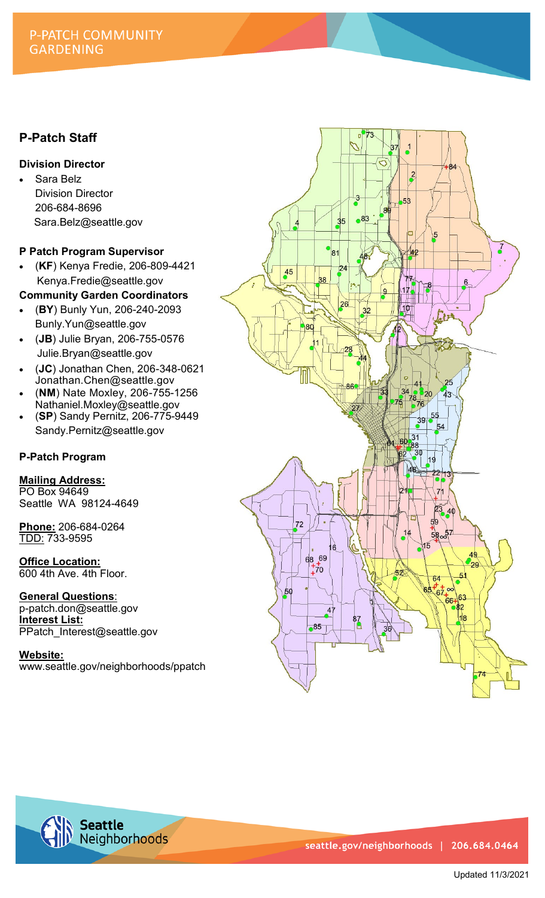## P-PATCH COMMUNITY **GARDENING**

# **P-Patch Staff**

### **Division Director**

Sara Belz Division Director 206-684-8696 Sara.Belz@seattle.gov

### **P Patch Program Supervisor**

- (**KF**) Kenya Fredie, 206-809-4421 Kenya.Fredie@seattle.gov
- **Community Garden Coordinators**
- (**BY**) Bunly Yun, 206-240-2093 Bunly.Yun@seattle.gov
- (**JB**) Julie Bryan, 206-755-0576 Julie.Bryan@seattle.gov
- (**JC**) Jonathan Chen, 206-348-0621 Jonathan.Chen@seattle.gov
- (**NM**) Nate Moxley, 206-755-1256 Nathaniel.Moxley@seattle.gov
- (**SP**) Sandy Pernitz, 206-775-9449 Sandy.Pernitz@seattle.gov

## **P-Patch Program**

## **Mailing Address:**

PO Box 94649 Seattle WA 98124-4649

**Phone:** 206-684-0264 TDD: 733-9595

**Office Location:**  600 4th Ave. 4th Floor.

**General Questions**: p-patch.don@seattle.gov

**Interest List:**  PPatch\_Interest@seattle.gov

**Website:** www.seattle.gov/neighborhoods/ppatch